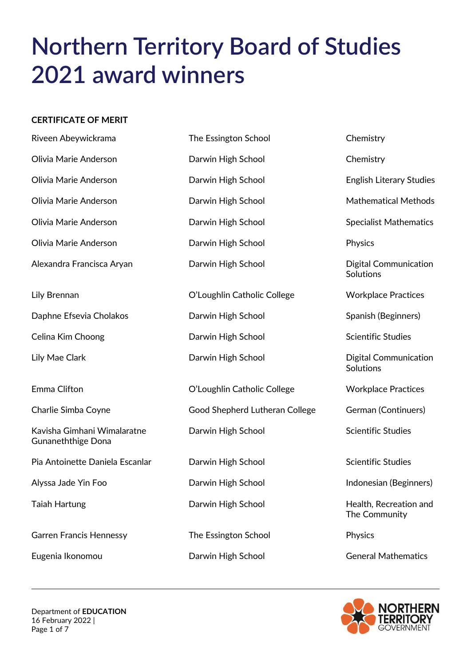# **Northern Territory Board of Studies 2021 award winners**

#### **CERTIFICATE OF MERIT**

| Riveen Abeywickrama                                      | The Essington School           | Chemistry                                 |
|----------------------------------------------------------|--------------------------------|-------------------------------------------|
| Olivia Marie Anderson                                    | Darwin High School             | Chemistry                                 |
| Olivia Marie Anderson                                    | Darwin High School             | <b>English Literary Studies</b>           |
| Olivia Marie Anderson                                    | Darwin High School             | <b>Mathematical Methods</b>               |
| Olivia Marie Anderson                                    | Darwin High School             | <b>Specialist Mathematics</b>             |
| Olivia Marie Anderson                                    | Darwin High School             | Physics                                   |
| Alexandra Francisca Aryan                                | Darwin High School             | <b>Digital Communication</b><br>Solutions |
| Lily Brennan                                             | O'Loughlin Catholic College    | <b>Workplace Practices</b>                |
| Daphne Efsevia Cholakos                                  | Darwin High School             | Spanish (Beginners)                       |
| Celina Kim Choong                                        | Darwin High School             | <b>Scientific Studies</b>                 |
| Lily Mae Clark                                           | Darwin High School             | <b>Digital Communication</b><br>Solutions |
| Emma Clifton                                             | O'Loughlin Catholic College    | <b>Workplace Practices</b>                |
| Charlie Simba Coyne                                      | Good Shepherd Lutheran College | German (Continuers)                       |
| Kavisha Gimhani Wimalaratne<br><b>Gunaneththige Dona</b> | Darwin High School             | <b>Scientific Studies</b>                 |
| Pia Antoinette Daniela Escanlar                          | Darwin High School             | <b>Scientific Studies</b>                 |
| Alyssa Jade Yin Foo                                      | Darwin High School             | Indonesian (Beginners)                    |
| <b>Taiah Hartung</b>                                     | Darwin High School             | Health, Recreation and<br>The Community   |
| <b>Garren Francis Hennessy</b>                           | The Essington School           | Physics                                   |
| Eugenia Ikonomou                                         | Darwin High School             | <b>General Mathematics</b>                |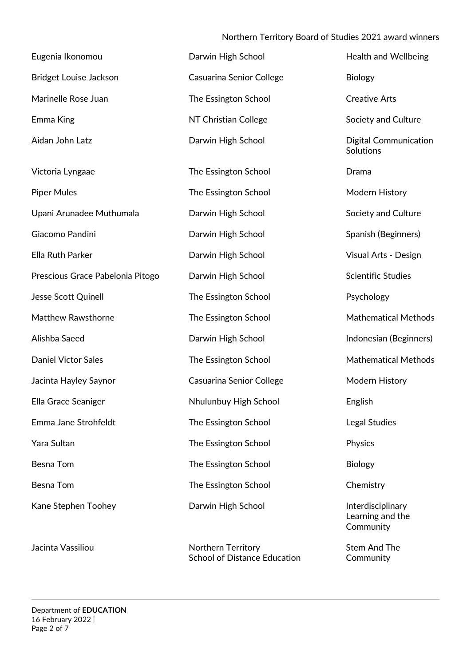#### Northern Territory Board of Studies 2021 award winners

| Eugenia Ikonomou                 | Darwin High School              | <b>Health and Wellbeing</b>                        |
|----------------------------------|---------------------------------|----------------------------------------------------|
| Bridget Louise Jackson           | <b>Casuarina Senior College</b> | <b>Biology</b>                                     |
| Marinelle Rose Juan              | The Essington School            | <b>Creative Arts</b>                               |
| Emma King                        | NT Christian College            | Society and Culture                                |
| Aidan John Latz                  | Darwin High School              | <b>Digital Communication</b><br>Solutions          |
| Victoria Lyngaae                 | The Essington School            | Drama                                              |
| <b>Piper Mules</b>               | The Essington School            | Modern History                                     |
| Upani Arunadee Muthumala         | Darwin High School              | Society and Culture                                |
| Giacomo Pandini                  | Darwin High School              | Spanish (Beginners)                                |
| Ella Ruth Parker                 | Darwin High School              | Visual Arts - Design                               |
| Prescious Grace Pabelonia Pitogo | Darwin High School              | <b>Scientific Studies</b>                          |
| Jesse Scott Quinell              | The Essington School            | Psychology                                         |
| Matthew Rawsthorne               | The Essington School            | <b>Mathematical Methods</b>                        |
| Alishba Saeed                    | Darwin High School              | Indonesian (Beginners)                             |
| <b>Daniel Victor Sales</b>       | The Essington School            | <b>Mathematical Methods</b>                        |
| Jacinta Hayley Saynor            | Casuarina Senior College        | Modern History                                     |
| Ella Grace Seaniger              | Nhulunbuy High School           | English                                            |
| Emma Jane Strohfeldt             | The Essington School            | Legal Studies                                      |
| Yara Sultan                      | The Essington School            | Physics                                            |
| <b>Besna Tom</b>                 | The Essington School            | <b>Biology</b>                                     |
| Besna Tom                        | The Essington School            | Chemistry                                          |
| Kane Stephen Toohey              | Darwin High School              | Interdisciplinary<br>Learning and the<br>Community |
| Jacinta Vassiliou                | Northern Territory              | <b>Stem And The</b>                                |

School of Distance Education Community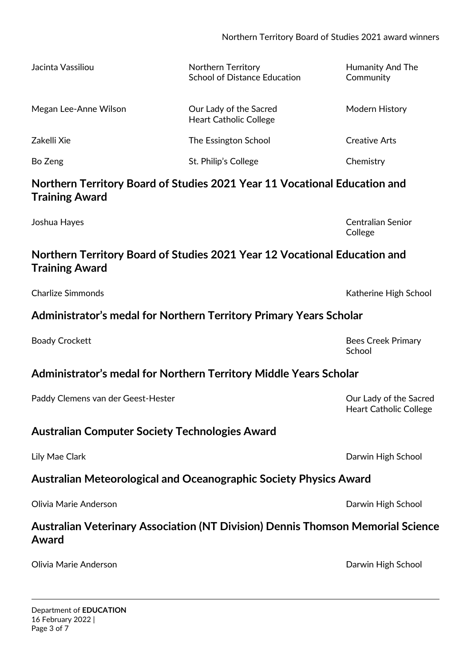| Jacinta Vassiliou                                                                                  | <b>Northern Territory</b><br><b>School of Distance Education</b>                       | Humanity And The<br>Community                           |
|----------------------------------------------------------------------------------------------------|----------------------------------------------------------------------------------------|---------------------------------------------------------|
| Megan Lee-Anne Wilson                                                                              | Our Lady of the Sacred<br><b>Heart Catholic College</b>                                | Modern History                                          |
| Zakelli Xie                                                                                        | The Essington School                                                                   | <b>Creative Arts</b>                                    |
| Bo Zeng                                                                                            | St. Philip's College                                                                   | Chemistry                                               |
| Northern Territory Board of Studies 2021 Year 11 Vocational Education and<br><b>Training Award</b> |                                                                                        |                                                         |
| Joshua Hayes                                                                                       |                                                                                        | <b>Centralian Senior</b><br>College                     |
| Northern Territory Board of Studies 2021 Year 12 Vocational Education and<br><b>Training Award</b> |                                                                                        |                                                         |
| <b>Charlize Simmonds</b>                                                                           |                                                                                        | Katherine High School                                   |
| Administrator's medal for Northern Territory Primary Years Scholar                                 |                                                                                        |                                                         |
| <b>Boady Crockett</b>                                                                              |                                                                                        | <b>Bees Creek Primary</b><br>School                     |
| Administrator's medal for Northern Territory Middle Years Scholar                                  |                                                                                        |                                                         |
| Paddy Clemens van der Geest-Hester                                                                 |                                                                                        | Our Lady of the Sacred<br><b>Heart Catholic College</b> |
| <b>Australian Computer Society Technologies Award</b>                                              |                                                                                        |                                                         |
| Lily Mae Clark                                                                                     |                                                                                        | Darwin High School                                      |
| <b>Australian Meteorological and Oceanographic Society Physics Award</b>                           |                                                                                        |                                                         |
|                                                                                                    |                                                                                        |                                                         |
| Olivia Marie Anderson                                                                              |                                                                                        | Darwin High School                                      |
| Award                                                                                              | <b>Australian Veterinary Association (NT Division) Dennis Thomson Memorial Science</b> |                                                         |
| Olivia Marie Anderson                                                                              |                                                                                        | Darwin High School                                      |

16 February 2022 |

Page 3 of 7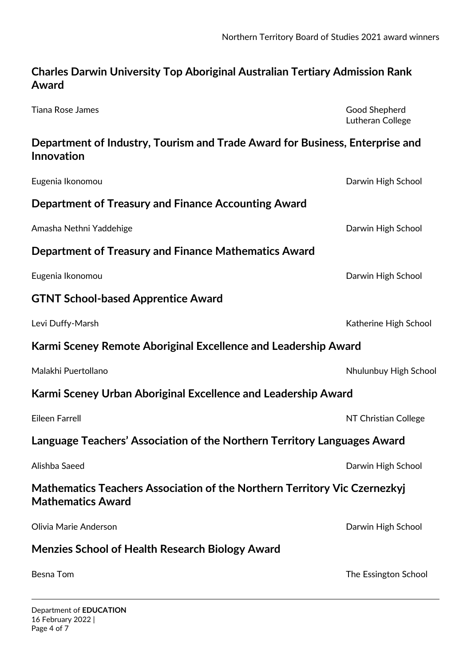## **Charles Darwin University Top Aboriginal Australian Tertiary Admission Rank Award**

Tiana Rose James **Good Shepherd** 

Lutheran College

## **Department of Industry, Tourism and Trade Award for Business, Enterprise and Innovation**

| Eugenia Ikonomou                                                                                      | Darwin High School    |  |
|-------------------------------------------------------------------------------------------------------|-----------------------|--|
| Department of Treasury and Finance Accounting Award                                                   |                       |  |
| Amasha Nethni Yaddehige                                                                               | Darwin High School    |  |
| Department of Treasury and Finance Mathematics Award                                                  |                       |  |
| Eugenia Ikonomou                                                                                      | Darwin High School    |  |
| <b>GTNT School-based Apprentice Award</b>                                                             |                       |  |
| Levi Duffy-Marsh                                                                                      | Katherine High School |  |
| Karmi Sceney Remote Aboriginal Excellence and Leadership Award                                        |                       |  |
| Malakhi Puertollano                                                                                   | Nhulunbuy High School |  |
| Karmi Sceney Urban Aboriginal Excellence and Leadership Award                                         |                       |  |
| Eileen Farrell                                                                                        | NT Christian College  |  |
| Language Teachers' Association of the Northern Territory Languages Award                              |                       |  |
| Alishba Saeed                                                                                         | Darwin High School    |  |
| Mathematics Teachers Association of the Northern Territory Vic Czernezkyj<br><b>Mathematics Award</b> |                       |  |
| Olivia Marie Anderson                                                                                 | Darwin High School    |  |
| <b>Menzies School of Health Research Biology Award</b>                                                |                       |  |
| <b>Besna Tom</b>                                                                                      | The Essington School  |  |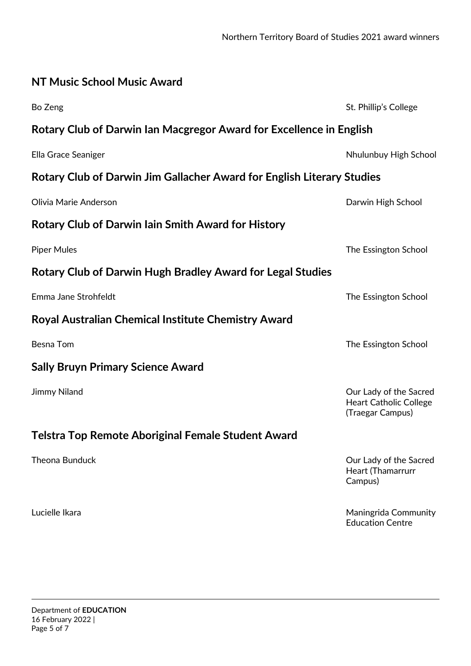| NT Music School Music Award                                            |                                                                             |  |
|------------------------------------------------------------------------|-----------------------------------------------------------------------------|--|
| Bo Zeng                                                                | St. Phillip's College                                                       |  |
| Rotary Club of Darwin Ian Macgregor Award for Excellence in English    |                                                                             |  |
| Ella Grace Seaniger                                                    | Nhulunbuy High School                                                       |  |
| Rotary Club of Darwin Jim Gallacher Award for English Literary Studies |                                                                             |  |
| Olivia Marie Anderson                                                  | Darwin High School                                                          |  |
| <b>Rotary Club of Darwin Iain Smith Award for History</b>              |                                                                             |  |
| <b>Piper Mules</b>                                                     | The Essington School                                                        |  |
| <b>Rotary Club of Darwin Hugh Bradley Award for Legal Studies</b>      |                                                                             |  |
| Emma Jane Strohfeldt                                                   | The Essington School                                                        |  |
| Royal Australian Chemical Institute Chemistry Award                    |                                                                             |  |
| <b>Besna Tom</b>                                                       | The Essington School                                                        |  |
| <b>Sally Bruyn Primary Science Award</b>                               |                                                                             |  |
| Jimmy Niland                                                           | Our Lady of the Sacred<br><b>Heart Catholic College</b><br>(Traegar Campus) |  |
| Telstra Top Remote Aboriginal Female Student Award                     |                                                                             |  |
| <b>Theona Bunduck</b>                                                  | Our Lady of the Sacred<br>Heart (Thamarrurr<br>Campus)                      |  |
| Lucielle Ikara                                                         | Maningrida Community<br><b>Education Centre</b>                             |  |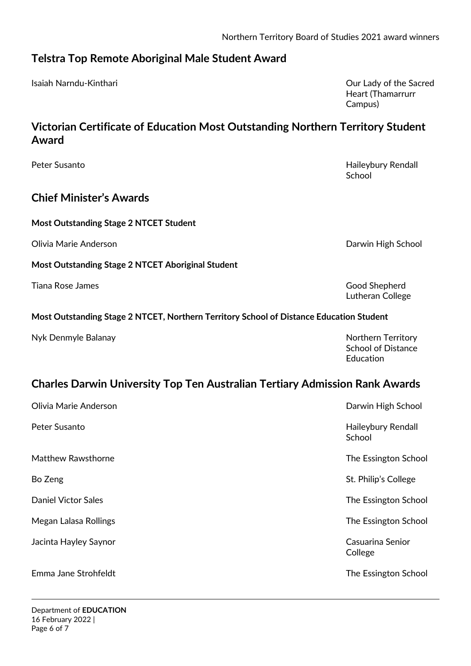#### **Telstra Top Remote Aboriginal Male Student Award**

Isaiah Narndu-Kinthari Our Lady of the Sacred

# **Victorian Certificate of Education Most Outstanding Northern Territory Student Award**

Peter Susanto **Nationally Rendall** Rendall Rendall Rendall Rendall Rendall Rendall Rendall Rendall Rendall Rendall

## **Chief Minister's Awards**

#### **Most Outstanding Stage 2 NTCET Student**

Olivia Marie Anderson Darwin High School

**Most Outstanding Stage 2 NTCET Aboriginal Student** 

Tiana Rose James Good Shepherd

#### **Most Outstanding Stage 2 NTCET, Northern Territory School of Distance Education Student**

Nyk Denmyle Balanay Northern Territory

# **Charles Darwin University Top Ten Australian Tertiary Admission Rank Awards**

| Olivia Marie Anderson      | Darwin High School           |
|----------------------------|------------------------------|
| Peter Susanto              | Haileybury Rendall<br>School |
| <b>Matthew Rawsthorne</b>  | The Essington School         |
| Bo Zeng                    | St. Philip's College         |
| <b>Daniel Victor Sales</b> | The Essington School         |
| Megan Lalasa Rollings      | The Essington School         |
| Jacinta Hayley Saynor      | Casuarina Senior<br>College  |
| Emma Jane Strohfeldt       | The Essington School         |

Heart (Thamarrurr Campus)

**School** 

Lutheran College

School of Distance Education